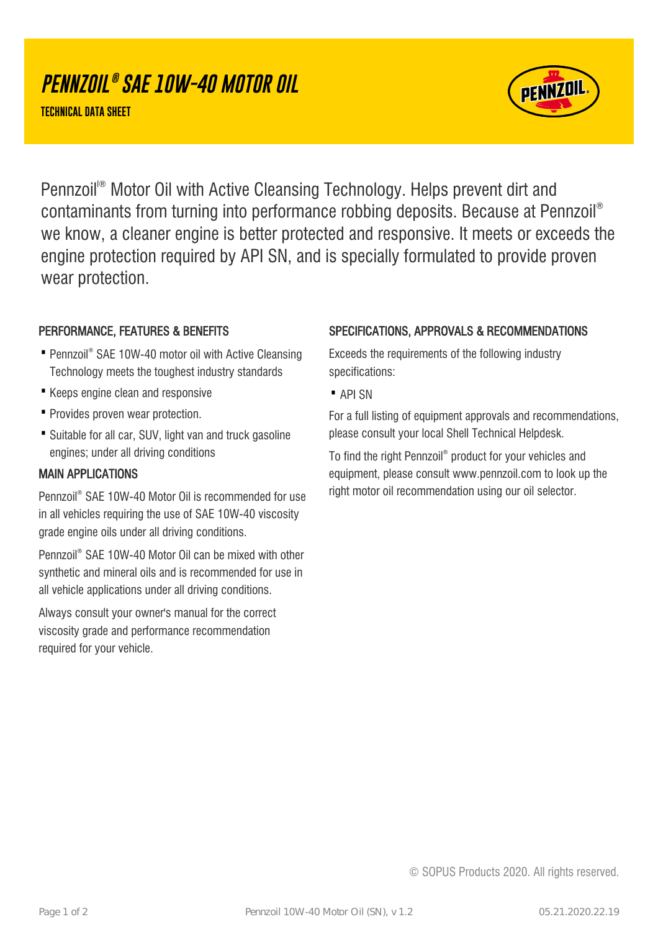# **PENNZOIL ® SAE 10W-40 MOTOR OIL**

**TECHNICAL DATA SHEET**



Pennzoil<sup>®</sup> Motor Oil with Active Cleansing Technology. Helps prevent dirt and contaminants from turning into performance robbing deposits. Because at Pennzoil® we know, a cleaner engine is better protected and responsive. It meets or exceeds the engine protection required by API SN, and is specially formulated to provide proven wear protection.

#### PERFORMANCE, FEATURES & BENEFITS

- Pennzoil® SAE 10W-40 motor oil with Active Cleansing Technology meets the toughest industry standards
- · Keeps engine clean and responsive
- · Provides proven wear protection.
- Suitable for all car, SUV, light van and truck gasoline engines; under all driving conditions

#### MAIN APPLICATIONS

Pennzoil® SAE 10W-40 Motor Oil is recommended for use in all vehicles requiring the use of SAE 10W-40 viscosity grade engine oils under all driving conditions.

Pennzoil® SAE 10W-40 Motor Oil can be mixed with other synthetic and mineral oils and is recommended for use in all vehicle applications under all driving conditions.

Always consult your owner's manual for the correct viscosity grade and performance recommendation required for your vehicle.

#### SPECIFICATIONS, APPROVALS & RECOMMENDATIONS

Exceeds the requirements of the following industry specifications:

· API SN

For a full listing of equipment approvals and recommendations, please consult your local Shell Technical Helpdesk.

To find the right Pennzoil® product for your vehicles and equipment, please consult www.pennzoil.com to look up the right motor oil recommendation using our oil selector.